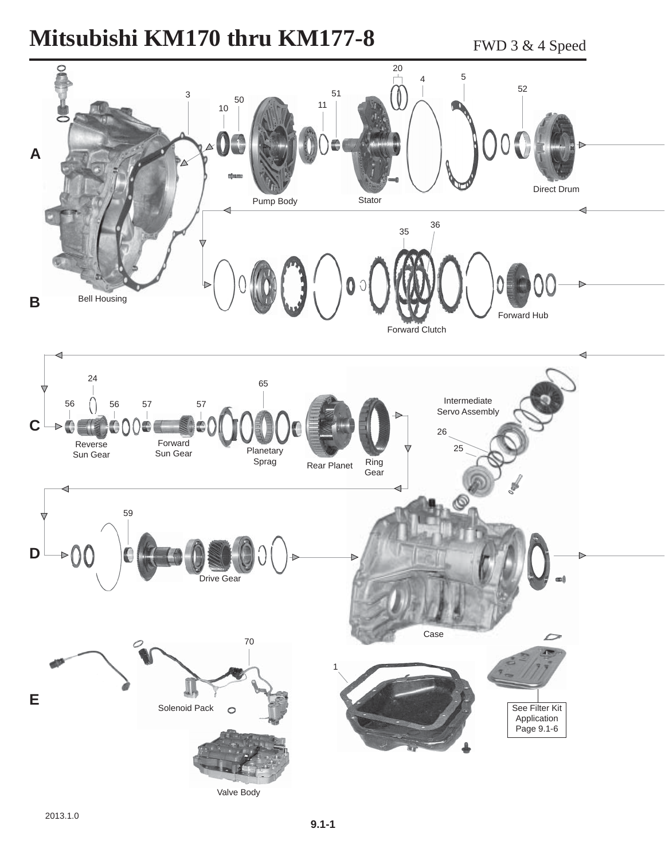# **Mitsubishi KM170 thru KM177-8** FWD 3 & 4 Speed

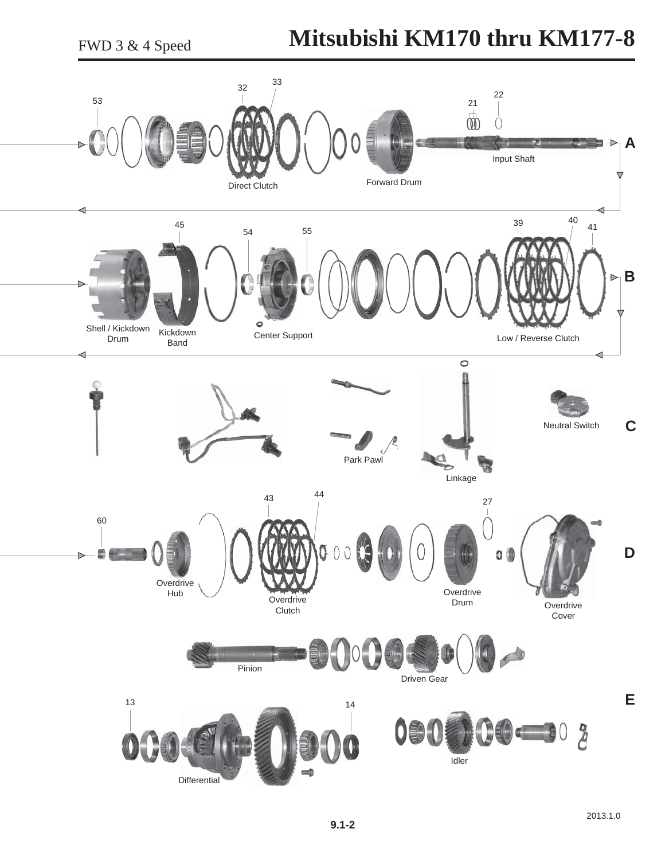### **Mitsubishi KM170 thru KM177-8**

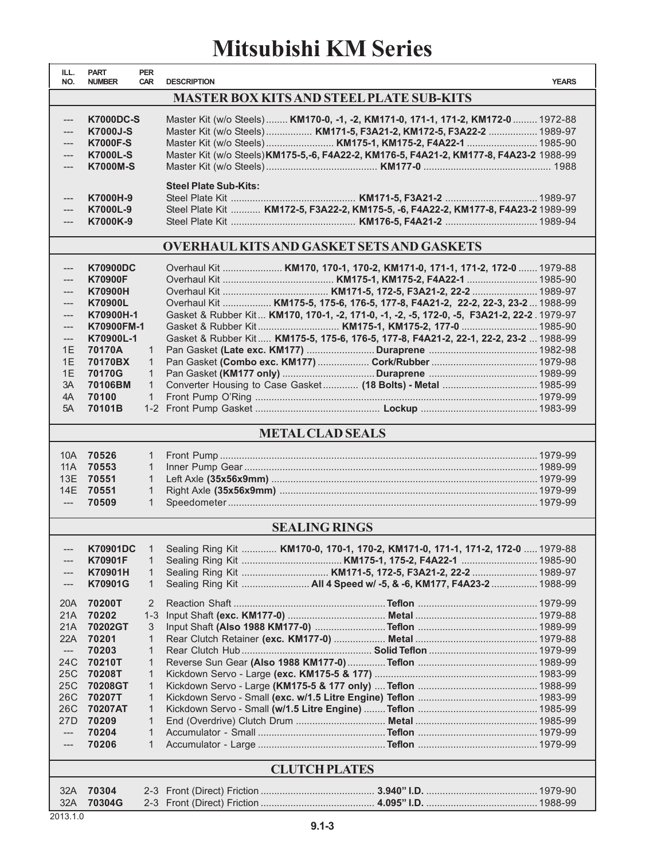#### **Mitsubishi KM Series**

| ILL.<br>NO.                                      | <b>PART</b><br><b>NUMBER</b>        | <b>PER</b><br><b>CAR</b>     | <b>DESCRIPTION</b>                                                                                                                                        | <b>YEARS</b> |  |  |  |  |  |  |  |
|--------------------------------------------------|-------------------------------------|------------------------------|-----------------------------------------------------------------------------------------------------------------------------------------------------------|--------------|--|--|--|--|--|--|--|
|                                                  |                                     |                              | <b>MASTER BOX KITS AND STEEL PLATE SUB-KITS</b>                                                                                                           |              |  |  |  |  |  |  |  |
|                                                  |                                     |                              |                                                                                                                                                           |              |  |  |  |  |  |  |  |
| ---<br>---                                       | <b>K7000DC-S</b><br><b>K7000J-S</b> |                              | Master Kit (w/o Steels)  KM170-0, -1, -2, KM171-0, 171-1, 171-2, KM172-0  1972-88<br>Master Kit (w/o Steels)  KM171-5, F3A21-2, KM172-5, F3A22-2  1989-97 |              |  |  |  |  |  |  |  |
| $---$                                            | <b>K7000F-S</b>                     |                              | Master Kit (w/o Steels)  KM175-1, KM175-2, F4A22-1  1985-90                                                                                               |              |  |  |  |  |  |  |  |
| $---$                                            | <b>K7000L-S</b>                     |                              | Master Kit (w/o Steels) KM175-5,-6, F4A22-2, KM176-5, F4A21-2, KM177-8, F4A23-2 1988-99                                                                   |              |  |  |  |  |  |  |  |
| ---                                              | <b>K7000M-S</b>                     |                              |                                                                                                                                                           |              |  |  |  |  |  |  |  |
|                                                  |                                     |                              | <b>Steel Plate Sub-Kits:</b>                                                                                                                              |              |  |  |  |  |  |  |  |
| $---$                                            | K7000H-9                            |                              |                                                                                                                                                           |              |  |  |  |  |  |  |  |
| $---$                                            | K7000L-9                            |                              | Steel Plate Kit  KM172-5, F3A22-2, KM175-5, -6, F4A22-2, KM177-8, F4A23-2 1989-99                                                                         |              |  |  |  |  |  |  |  |
| $---$                                            | K7000K-9                            |                              |                                                                                                                                                           |              |  |  |  |  |  |  |  |
| <b>OVERHAUL KITS AND GASKET SETS AND GASKETS</b> |                                     |                              |                                                                                                                                                           |              |  |  |  |  |  |  |  |
| ---                                              | <b>K70900DC</b>                     |                              | Overhaul Kit  KM170, 170-1, 170-2, KM171-0, 171-1, 171-2, 172-0  1979-88                                                                                  |              |  |  |  |  |  |  |  |
|                                                  | <b>K70900F</b>                      |                              |                                                                                                                                                           |              |  |  |  |  |  |  |  |
| $---$                                            | <b>K70900H</b>                      |                              |                                                                                                                                                           |              |  |  |  |  |  |  |  |
| ---                                              | <b>K70900L</b>                      |                              | Overhaul Kit  KM175-5, 175-6, 176-5, 177-8, F4A21-2, 22-2, 22-3, 23-2  1988-99                                                                            |              |  |  |  |  |  |  |  |
| $---$                                            | K70900H-1                           |                              | Gasket & Rubber Kit KM170, 170-1, -2, 171-0, -1, -2, -5, 172-0, -5, F3A21-2, 22-2. 1979-97                                                                |              |  |  |  |  |  |  |  |
| $---$                                            | K70900FM-1                          |                              | Gasket & Rubber Kit KM175-1, KM175-2, 177-0  1985-90                                                                                                      |              |  |  |  |  |  |  |  |
| $\qquad \qquad - -$                              | K70900L-1                           |                              | Gasket & Rubber Kit KM175-5, 175-6, 176-5, 177-8, F4A21-2, 22-1, 22-2, 23-2  1988-99                                                                      |              |  |  |  |  |  |  |  |
| 1E                                               | 70170A                              | 1                            |                                                                                                                                                           |              |  |  |  |  |  |  |  |
| 1E                                               | 70170BX                             | $\mathbf{1}$                 |                                                                                                                                                           |              |  |  |  |  |  |  |  |
| 1E                                               | 70170G                              | $\mathbf{1}$                 |                                                                                                                                                           |              |  |  |  |  |  |  |  |
| 3A<br>4A                                         | 70106BM<br>70100                    | $\mathbf{1}$<br>$\mathbf{1}$ | Converter Housing to Case Gasket (18 Bolts) - Metal  1985-99                                                                                              |              |  |  |  |  |  |  |  |
| 5A                                               | 70101B                              |                              |                                                                                                                                                           |              |  |  |  |  |  |  |  |
|                                                  |                                     |                              |                                                                                                                                                           |              |  |  |  |  |  |  |  |
|                                                  |                                     |                              | <b>METAL CLAD SEALS</b>                                                                                                                                   |              |  |  |  |  |  |  |  |
|                                                  | 10A 70526                           | $\mathbf{1}$                 |                                                                                                                                                           |              |  |  |  |  |  |  |  |
| 11A                                              | 70553                               | $\mathbf{1}$                 |                                                                                                                                                           |              |  |  |  |  |  |  |  |
| 13E                                              | 70551                               | $\mathbf{1}$                 |                                                                                                                                                           |              |  |  |  |  |  |  |  |
|                                                  | 14E 70551                           | 1                            |                                                                                                                                                           |              |  |  |  |  |  |  |  |
| $---$                                            | 70509                               | $\mathbf{1}$                 |                                                                                                                                                           |              |  |  |  |  |  |  |  |
|                                                  |                                     |                              | <b>SEALING RINGS</b>                                                                                                                                      |              |  |  |  |  |  |  |  |
| ---                                              | <b>K70901DC</b>                     | $\mathbf{1}$                 | Sealing Ring Kit  KM170-0, 170-1, 170-2, KM171-0, 171-1, 171-2, 172-0  1979-88                                                                            |              |  |  |  |  |  |  |  |
| $---$                                            | K70901F                             | $\mathbf{1}$                 |                                                                                                                                                           |              |  |  |  |  |  |  |  |
|                                                  | K70901H                             | $\mathbf{1}$                 | Sealing Ring Kit  KM171-5, 172-5, F3A21-2, 22-2  1989-97                                                                                                  |              |  |  |  |  |  |  |  |
| $---$                                            | K70901G                             | 1                            | Sealing Ring Kit  All 4 Speed w/ -5, & -6, KM177, F4A23-2  1988-99                                                                                        |              |  |  |  |  |  |  |  |
| 20A                                              | 70200T                              | 2                            |                                                                                                                                                           |              |  |  |  |  |  |  |  |
| 21A                                              | 70202                               | $1 - 3$                      |                                                                                                                                                           |              |  |  |  |  |  |  |  |
| 21A                                              | 70202GT                             | 3                            |                                                                                                                                                           |              |  |  |  |  |  |  |  |
| 22A                                              | 70201                               | $\mathbf{1}$                 |                                                                                                                                                           |              |  |  |  |  |  |  |  |
| $\qquad \qquad - -$                              | 70203                               | $\mathbf{1}$                 |                                                                                                                                                           |              |  |  |  |  |  |  |  |
| 24C                                              | 70210T                              | 1                            |                                                                                                                                                           |              |  |  |  |  |  |  |  |
| 25C<br>25C                                       | 70208T<br>70208GT                   | 1<br>$\mathbf{1}$            |                                                                                                                                                           |              |  |  |  |  |  |  |  |
| 26C                                              | 70207T                              | $\mathbf{1}$                 |                                                                                                                                                           |              |  |  |  |  |  |  |  |
| 26C                                              | 70207AT                             | $\mathbf{1}$                 |                                                                                                                                                           |              |  |  |  |  |  |  |  |
| 27D                                              | 70209                               | 1                            |                                                                                                                                                           |              |  |  |  |  |  |  |  |
| ---                                              | 70204                               | 1                            |                                                                                                                                                           |              |  |  |  |  |  |  |  |
| $---$                                            | 70206                               | 1                            |                                                                                                                                                           |              |  |  |  |  |  |  |  |
| <b>CLUTCH PLATES</b>                             |                                     |                              |                                                                                                                                                           |              |  |  |  |  |  |  |  |
|                                                  |                                     |                              |                                                                                                                                                           |              |  |  |  |  |  |  |  |
| 32A                                              | 70304                               |                              |                                                                                                                                                           |              |  |  |  |  |  |  |  |
| 32A                                              | 70304G                              |                              |                                                                                                                                                           |              |  |  |  |  |  |  |  |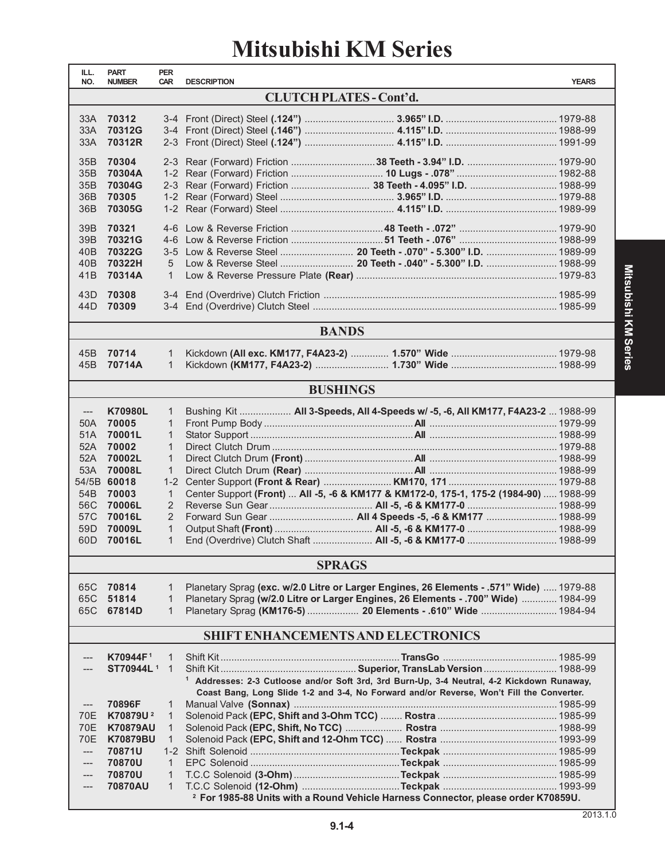## **Mitsubishi KM Series**

| ILL.<br>NO.                    | <b>PART</b><br><b>NUMBER</b> | <b>PER</b><br><b>CAR</b>     | <b>DESCRIPTION</b>                                                                                    | <b>YEARS</b> |  |  |  |  |  |  |  |
|--------------------------------|------------------------------|------------------------------|-------------------------------------------------------------------------------------------------------|--------------|--|--|--|--|--|--|--|
| <b>CLUTCH PLATES - Cont'd.</b> |                              |                              |                                                                                                       |              |  |  |  |  |  |  |  |
| 33A                            | 70312                        |                              |                                                                                                       |              |  |  |  |  |  |  |  |
| 33A                            | 70312G                       |                              |                                                                                                       |              |  |  |  |  |  |  |  |
| 33A                            | 70312R                       |                              |                                                                                                       |              |  |  |  |  |  |  |  |
| 35 <sub>B</sub>                | 70304                        |                              |                                                                                                       |              |  |  |  |  |  |  |  |
| 35B                            | 70304A                       |                              |                                                                                                       |              |  |  |  |  |  |  |  |
| 35B                            | 70304G                       |                              |                                                                                                       |              |  |  |  |  |  |  |  |
| 36 <sub>B</sub>                | 70305                        |                              |                                                                                                       |              |  |  |  |  |  |  |  |
| 36 <sub>B</sub>                | 70305G                       |                              |                                                                                                       |              |  |  |  |  |  |  |  |
| 39 <sub>B</sub>                | 70321                        |                              |                                                                                                       |              |  |  |  |  |  |  |  |
| 39B                            | 70321G                       |                              |                                                                                                       |              |  |  |  |  |  |  |  |
| 40B                            | 70322G                       | $3 - 5$                      |                                                                                                       |              |  |  |  |  |  |  |  |
| 40B                            | 70322H                       | 5                            | Low & Reverse Steel  20 Teeth - .040" - 5.300" I.D.  1988-99                                          |              |  |  |  |  |  |  |  |
| 41B                            | 70314A                       | $\mathbf{1}$                 |                                                                                                       |              |  |  |  |  |  |  |  |
| 43D                            | 70308                        |                              |                                                                                                       |              |  |  |  |  |  |  |  |
| 44D                            | 70309                        |                              |                                                                                                       |              |  |  |  |  |  |  |  |
|                                |                              |                              |                                                                                                       |              |  |  |  |  |  |  |  |
| <b>BANDS</b>                   |                              |                              |                                                                                                       |              |  |  |  |  |  |  |  |
| 45B                            | 70714                        | $\mathbf{1}$                 |                                                                                                       |              |  |  |  |  |  |  |  |
| 45B                            | 70714A                       | $\mathbf{1}$                 |                                                                                                       |              |  |  |  |  |  |  |  |
|                                |                              |                              |                                                                                                       |              |  |  |  |  |  |  |  |
|                                |                              |                              | <b>BUSHINGS</b>                                                                                       |              |  |  |  |  |  |  |  |
| $\qquad \qquad - -$            | <b>K70980L</b>               | $\mathbf{1}$                 | Bushing Kit  All 3-Speeds, All 4-Speeds w/ -5, -6, All KM177, F4A23-2  1988-99                        |              |  |  |  |  |  |  |  |
| 50A                            | 70005                        | 1                            |                                                                                                       |              |  |  |  |  |  |  |  |
| 51A                            | 70001L                       | $\mathbf{1}$                 |                                                                                                       |              |  |  |  |  |  |  |  |
| 52A                            | 70002                        | $\mathbf{1}$                 |                                                                                                       |              |  |  |  |  |  |  |  |
| 52A                            | 70002L                       | $\mathbf{1}$                 |                                                                                                       |              |  |  |  |  |  |  |  |
| 53A                            | 70008L                       | $\mathbf{1}$                 |                                                                                                       |              |  |  |  |  |  |  |  |
| 54B                            | 54/5B 60018<br>70003         | $1 - 2$<br>$\mathbf{1}$      | Center Support (Front)  All -5, -6 & KM177 & KM172-0, 175-1, 175-2 (1984-90)  1988-99                 |              |  |  |  |  |  |  |  |
| 56C                            | 70006L                       | 2                            |                                                                                                       |              |  |  |  |  |  |  |  |
| 57C                            | 70016L                       | 2                            | Forward Sun Gear  All 4 Speeds -5, -6 & KM177  1988-99                                                |              |  |  |  |  |  |  |  |
| 59 <sub>D</sub>                | 70009L                       | $\mathbf{1}$                 |                                                                                                       |              |  |  |  |  |  |  |  |
| 60 <sub>D</sub>                | 70016L                       | $\mathbf{1}$                 |                                                                                                       |              |  |  |  |  |  |  |  |
|                                |                              |                              |                                                                                                       |              |  |  |  |  |  |  |  |
|                                |                              |                              | <b>SPRAGS</b>                                                                                         |              |  |  |  |  |  |  |  |
| 65C                            | 70814                        | 1                            | Planetary Sprag (exc. w/2.0 Litre or Larger Engines, 26 Elements - .571" Wide)  1979-88               |              |  |  |  |  |  |  |  |
| 65C                            | 51814                        | 1                            | Planetary Sprag (w/2.0 Litre or Larger Engines, 26 Elements - .700" Wide)  1984-99                    |              |  |  |  |  |  |  |  |
| 65C                            | 67814D                       | $\mathbf{1}$                 | Planetary Sprag (KM176-5)  20 Elements - .610" Wide  1984-94                                          |              |  |  |  |  |  |  |  |
|                                |                              |                              | <b>SHIFT ENHANCEMENTS AND ELECTRONICS</b>                                                             |              |  |  |  |  |  |  |  |
|                                | K70944F <sup>1</sup>         | 1                            |                                                                                                       |              |  |  |  |  |  |  |  |
|                                | ST70944L <sup>1</sup>        | $\overline{1}$               |                                                                                                       |              |  |  |  |  |  |  |  |
|                                |                              |                              | <sup>1</sup> Addresses: 2-3 Cutloose and/or Soft 3rd, 3rd Burn-Up, 3-4 Neutral, 4-2 Kickdown Runaway, |              |  |  |  |  |  |  |  |
|                                |                              |                              | Coast Bang, Long Slide 1-2 and 3-4, No Forward and/or Reverse, Won't Fill the Converter.              |              |  |  |  |  |  |  |  |
|                                | 70896F                       | 1                            |                                                                                                       |              |  |  |  |  |  |  |  |
| <b>70E</b>                     | K70879U <sup>2</sup>         | 1                            |                                                                                                       |              |  |  |  |  |  |  |  |
| <b>70E</b>                     | <b>K70879AU</b>              | $\mathbf{1}$                 |                                                                                                       |              |  |  |  |  |  |  |  |
| 70E                            | <b>K70879BU</b>              | $\mathbf{1}$                 |                                                                                                       |              |  |  |  |  |  |  |  |
| $\qquad \qquad - -$            | 70871U                       | $1 - 2$                      |                                                                                                       |              |  |  |  |  |  |  |  |
| ---                            | 70870U<br>70870U             | $\mathbf{1}$<br>$\mathbf{1}$ |                                                                                                       |              |  |  |  |  |  |  |  |
|                                | 70870AU                      | $\mathbf{1}$                 |                                                                                                       |              |  |  |  |  |  |  |  |
|                                |                              |                              | <sup>2</sup> For 1985-88 Units with a Round Vehicle Harness Connector, please order K70859U.          |              |  |  |  |  |  |  |  |